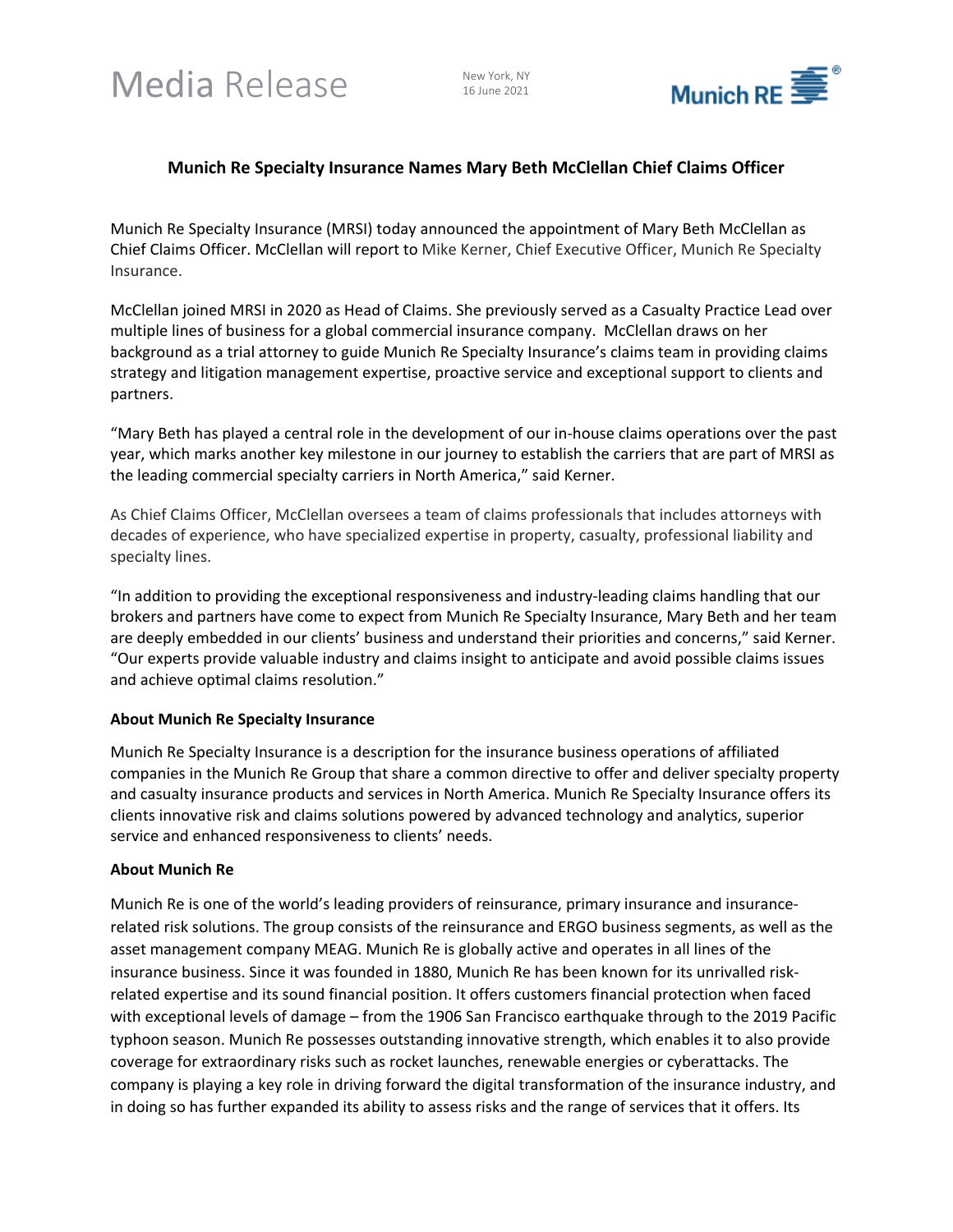Media Release New York, NY

16 June 2021



## **Munich Re Specialty Insurance Names Mary Beth McClellan Chief Claims Officer**

Munich Re Specialty Insurance (MRSI) today announced the appointment of Mary Beth McClellan as Chief Claims Officer. McClellan will report to Mike Kerner, Chief Executive Officer, Munich Re Specialty Insurance.

McClellan joined MRSI in 2020 as Head of Claims. She previously served as a Casualty Practice Lead over multiple lines of business for a global commercial insurance company. McClellan draws on her background as a trial attorney to guide Munich Re Specialty Insurance's claims team in providing claims strategy and litigation management expertise, proactive service and exceptional support to clients and partners.

"Mary Beth has played a central role in the development of our in-house claims operations over the past year, which marks another key milestone in our journey to establish the carriers that are part of MRSI as the leading commercial specialty carriers in North America," said Kerner.

As Chief Claims Officer, McClellan oversees a team of claims professionals that includes attorneys with decades of experience, who have specialized expertise in property, casualty, professional liability and specialty lines.

"In addition to providing the exceptional responsiveness and industry-leading claims handling that our brokers and partners have come to expect from Munich Re Specialty Insurance, Mary Beth and her team are deeply embedded in our clients' business and understand their priorities and concerns," said Kerner. "Our experts provide valuable industry and claims insight to anticipate and avoid possible claims issues and achieve optimal claims resolution."

## **About Munich Re Specialty Insurance**

Munich Re Specialty Insurance is a description for the insurance business operations of affiliated companies in the Munich Re Group that share a common directive to offer and deliver specialty property and casualty insurance products and services in North America. Munich Re Specialty Insurance offers its clients innovative risk and claims solutions powered by advanced technology and analytics, superior service and enhanced responsiveness to clients' needs.

## **About Munich Re**

Munich Re is one of the world's leading providers of reinsurance, primary insurance and insurancerelated risk solutions. The group consists of the reinsurance and ERGO business segments, as well as the asset management company MEAG. Munich Re is globally active and operates in all lines of the insurance business. Since it was founded in 1880, Munich Re has been known for its unrivalled riskrelated expertise and its sound financial position. It offers customers financial protection when faced with exceptional levels of damage – from the 1906 San Francisco earthquake through to the 2019 Pacific typhoon season. Munich Re possesses outstanding innovative strength, which enables it to also provide coverage for extraordinary risks such as rocket launches, renewable energies or cyberattacks. The company is playing a key role in driving forward the digital transformation of the insurance industry, and in doing so has further expanded its ability to assess risks and the range of services that it offers. Its